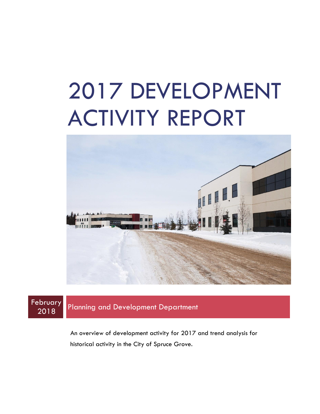# 2017 DEVELOPMENT ACTIVITY REPORT



**February** 

**Planning and Development Department** 

An overview of development activity for 2017 and trend analysis for historical activity in the City of Spruce Grove.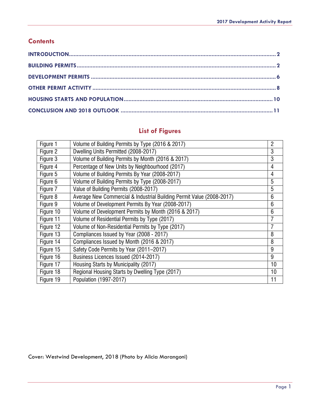#### **Contents**

### **List of Figures**

| Figure 1  | Volume of Building Permits by Type (2016 & 2017)                      | $\overline{2}$ |
|-----------|-----------------------------------------------------------------------|----------------|
| Figure 2  | Dwelling Units Permitted (2008-2017)                                  | 3              |
| Figure 3  | Volume of Building Permits by Month (2016 & 2017)                     | 3              |
| Figure 4  | Percentage of New Units by Neighbourhood (2017)                       | 4              |
| Figure 5  | Volume of Building Permits By Year (2008-2017)                        | 4              |
| Figure 6  | Volume of Building Permits by Type (2008-2017)                        | 5              |
| Figure 7  | Value of Building Permits (2008-2017)                                 | 5              |
| Figure 8  | Average New Commercial & Industrial Building Permit Value (2008-2017) | 6              |
| Figure 9  | Volume of Development Permits By Year (2008-2017)                     | 6              |
| Figure 10 | Volume of Development Permits by Month (2016 & 2017)                  | 6              |
| Figure 11 | Volume of Residential Permits by Type (2017)                          | 7              |
| Figure 12 | Volume of Non-Residential Permits by Type (2017)                      | 7              |
| Figure 13 | Compliances Issued by Year (2008 - 2017)                              | 8              |
| Figure 14 | Compliances Issued by Month (2016 & 2017)                             | 8              |
| Figure 15 | Safety Code Permits by Year (2011-2017)                               | 9              |
| Figure 16 | Business Licences Issued (2014-2017)                                  | 9              |
| Figure 17 | Housing Starts by Municipality (2017)                                 | 10             |
| Figure 18 | Regional Housing Starts by Dwelling Type (2017)                       | 10             |
| Figure 19 | Population (1997-2017)                                                | 11             |

Cover: Westwind Development, 2018 (Photo by Alicia Marangoni)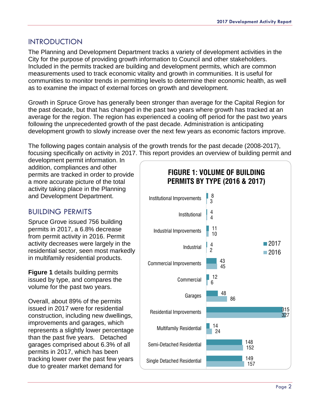#### <span id="page-2-0"></span>INTRODUCTION

The Planning and Development Department tracks a variety of development activities in the City for the purpose of providing growth information to Council and other stakeholders. Included in the permits tracked are building and development permits, which are common measurements used to track economic vitality and growth in communities. It is useful for communities to monitor trends in permitting levels to determine their economic health, as well as to examine the impact of external forces on growth and development.

Growth in Spruce Grove has generally been stronger than average for the Capital Region for the past decade, but that has changed in the past two years where growth has tracked at an average for the region. The region has experienced a cooling off period for the past two years following the unprecedented growth of the past decade. Administration is anticipating development growth to slowly increase over the next few years as economic factors improve.

The following pages contain analysis of the growth trends for the past decade (2008-2017), focusing specifically on activity in 2017. This report provides an overview of building permit and

development permit information. In addition, compliances and other permits are tracked in order to provide a more accurate picture of the total activity taking place in the Planning and Development Department.

#### <span id="page-2-1"></span>BUILDING PERMITS

Spruce Grove issued 756 building permits in 2017, a 6.8% decrease from permit activity in 2016. Permit activity decreases were largely in the residential sector, seen most markedly in multifamily residential products.

**Figure 1** details building permits issued by type, and compares the volume for the past two years.

Overall, about 89% of the permits issued in 2017 were for residential construction, including new dwellings, improvements and garages, which represents a slightly lower percentage than the past five years. Detached garages comprised about 6.3% of all permits in 2017, which has been tracking lower over the past few years

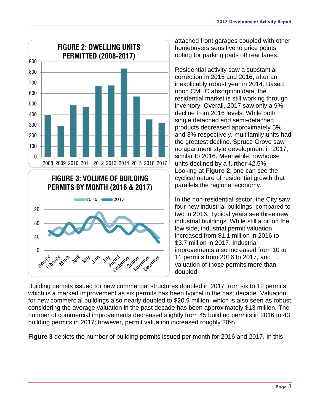

attached front garages coupled with other homebuyers sensitive to price points opting for parking pads off rear lanes.

Residential activity saw a substantial correction in 2015 and 2016, after an inexplicably robust year in 2014. Based upon CMHC absorption data, the residential market is still working through inventory. Overall, 2017 saw only a 9% decline from 2016 levels. While both single detached and semi-detached products decreased approximately 5% and 3% respectively, multifamily units had the greatest decline. Spruce Grove saw no apartment style development in 2017, similar to 2016. Meanwhile, rowhouse units declined by a further 42.5%. Looking at **Figure 2**, one can see the cyclical nature of residential growth that parallels the regional economy.

In the non-residential sector, the City saw four new industrial buildings, compared to two in 2016. Typical years see three new industrial buildings. While still a bit on the low side, industrial permit valuation increased from \$1.1 million in 2016 to \$3.7 million in 2017. Industrial improvements also increased from 10 to 11 permits from 2016 to 2017, and valuation of those permits more than doubled.

Building permits issued for new commercial structures doubled in 2017 from six to 12 permits, which is a marked improvement as six permits has been typical in the past decade. Valuation for new commercial buildings also nearly doubled to \$20.9 million, which is also seen as robust considering the average valuation in the past decade has been approximately \$13 million. The number of commercial improvements decreased slightly from 45 building permits in 2016 to 43 building permits in 2017; however, permit valuation increased roughly 20%.

**Figure 3** depicts the number of building permits issued per month for 2016 and 2017. In this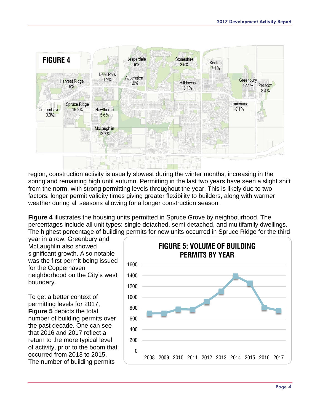

region, construction activity is usually slowest during the winter months, increasing in the spring and remaining high until autumn. Permitting in the last two years have seen a slight shift from the norm, with strong permitting levels throughout the year. This is likely due to two factors: longer permit validity times giving greater flexibility to builders, along with warmer weather during all seasons allowing for a longer construction season.

**Figure 4** illustrates the housing units permitted in Spruce Grove by neighbourhood. The percentages include all unit types: single detached, semi-detached, and multifamily dwellings. The highest percentage of building permits for new units occurred in Spruce Ridge for the third

year in a row. Greenbury and McLaughlin also showed significant growth. Also notable was the first permit being issued for the Copperhaven neighborhood on the City's west boundary.

To get a better context of permitting levels for 2017, **Figure 5** depicts the total number of building permits over the past decade. One can see that 2016 and 2017 reflect a return to the more typical level of activity, prior to the boom that occurred from 2013 to 2015. The number of building permits

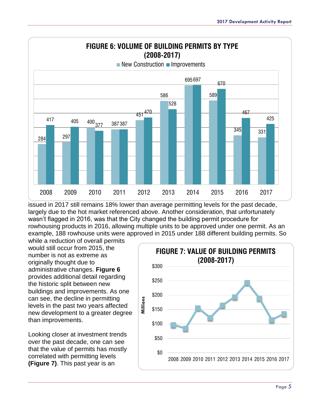

issued in 2017 still remains 18% lower than average permitting levels for the past decade, largely due to the hot market referenced above. Another consideration, that unfortunately wasn't flagged in 2016, was that the City changed the building permit procedure for rowhousing products in 2016, allowing multiple units to be approved under one permit. As an example, 188 rowhouse units were approved in 2015 under 188 different building permits. So

while a reduction of overall permits would still occur from 2015, the number is not as extreme as originally thought due to administrative changes. **Figure 6** provides additional detail regarding the historic split between new buildings and improvements. As one can see, the decline in permitting levels in the past two years affected new development to a greater degree than improvements.

Looking closer at investment trends over the past decade, one can see that the value of permits has mostly correlated with permitting levels **(Figure 7)**. This past year is an

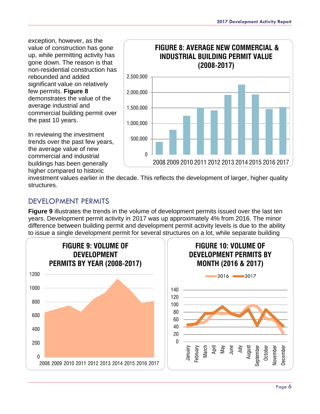exception, however, as the value of construction has gone up, while permitting activity has gone down. The reason is that non-residential construction has rebounded and added significant value on relatively few permits. **Figure 8** demonstrates the value of the average industrial and commercial building permit over the past 10 years.

In reviewing the investment trends over the past few years, the average value of new commercial and industrial buildings has been generally higher compared to historic



investment values earlier in the decade. This reflects the development of larger, higher quality structures.

#### <span id="page-6-0"></span>DEVELOPMENT PERMITS

**Figure 9** illustrates the trends in the volume of development permits issued over the last ten years. Development permit activity in 2017 was up approximately 4% from 2016. The minor difference between building permit and development permit activity levels is due to the ability to issue a single development permit for several structures on a lot, while separate building

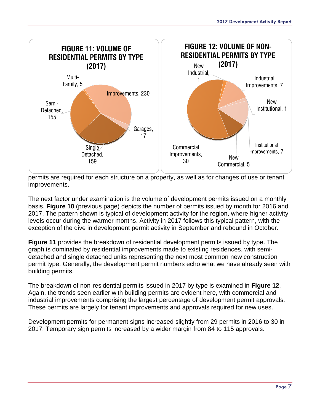

permits are required for each structure on a property, as well as for changes of use or tenant improvements.

The next factor under examination is the volume of development permits issued on a monthly basis. **Figure 10** (previous page) depicts the number of permits issued by month for 2016 and 2017. The pattern shown is typical of development activity for the region, where higher activity levels occur during the warmer months. Activity in 2017 follows this typical pattern, with the exception of the dive in development permit activity in September and rebound in October.

**Figure 11** provides the breakdown of residential development permits issued by type. The graph is dominated by residential improvements made to existing residences, with semidetached and single detached units representing the next most common new construction permit type. Generally, the development permit numbers echo what we have already seen with building permits.

The breakdown of non-residential permits issued in 2017 by type is examined in **Figure 12**. Again, the trends seen earlier with building permits are evident here, with commercial and industrial improvements comprising the largest percentage of development permit approvals. These permits are largely for tenant improvements and approvals required for new uses.

Development permits for permanent signs increased slightly from 29 permits in 2016 to 30 in 2017. Temporary sign permits increased by a wider margin from 84 to 115 approvals.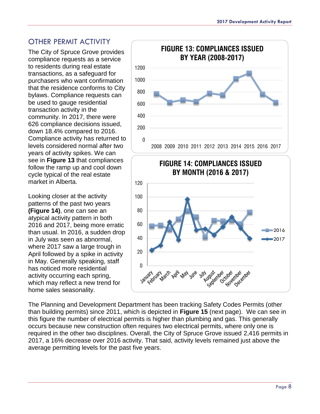#### <span id="page-8-0"></span>OTHER PERMIT ACTIVITY

The City of Spruce Grove provides compliance requests as a service to residents during real estate transactions, as a safeguard for purchasers who want confirmation that the residence conforms to City bylaws. Compliance requests can be used to gauge residential transaction activity in the community. In 2017, there were 626 compliance decisions issued, down 18.4% compared to 2016. Compliance activity has returned to levels considered normal after two years of activity spikes. We can see in **Figure 13** that compliances follow the ramp up and cool down cycle typical of the real estate market in Alberta.

Looking closer at the activity patterns of the past two years **(Figure 14)**, one can see an atypical activity pattern in both 2016 and 2017, being more erratic than usual. In 2016, a sudden drop in July was seen as abnormal, where 2017 saw a large trough in April followed by a spike in activity in May. Generally speaking, staff has noticed more residential activity occurring each spring, which may reflect a new trend for home sales seasonality.



The Planning and Development Department has been tracking Safety Codes Permits (other than building permits) since 2011, which is depicted in **Figure 15** (next page). We can see in this figure the number of electrical permits is higher than plumbing and gas. This generally occurs because new construction often requires two electrical permits, where only one is required in the other two disciplines. Overall, the City of Spruce Grove issued 2,416 permits in 2017, a 16% decrease over 2016 activity. That said, activity levels remained just above the average permitting levels for the past five years.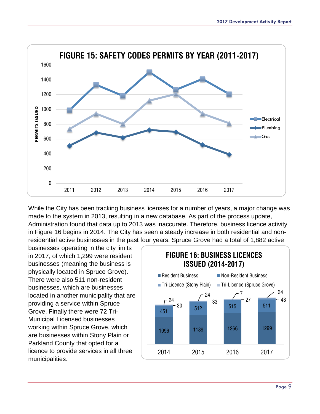

While the City has been tracking business licenses for a number of years, a major change was made to the system in 2013, resulting in a new database. As part of the process update, Administration found that data up to 2013 was inaccurate. Therefore, business licence activity in Figure 16 begins in 2014. The City has seen a steady increase in both residential and nonresidential active businesses in the past four years. Spruce Grove had a total of 1,882 active

businesses operating in the city limits in 2017, of which 1,299 were resident businesses (meaning the business is physically located in Spruce Grove). There were also 511 non-resident businesses, which are businesses located in another municipality that are providing a service within Spruce Grove. Finally there were 72 Tri-Municipal Licensed businesses working within Spruce Grove, which are businesses within Stony Plain or Parkland County that opted for a licence to provide services in all three municipalities.

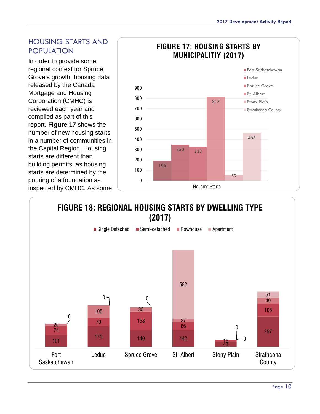#### <span id="page-10-0"></span>HOUSING STARTS AND POPULATION

In order to provide some regional context for Spruce Grove's growth, housing data released by the Canada Mortgage and Housing Corporation (CMHC) is reviewed each year and compiled as part of this report. **Figure 17** shows the number of new housing starts in a number of communities in the Capital Region. Housing starts are different than building permits, as housing starts are determined by the pouring of a foundation as inspected by CMHC. As some